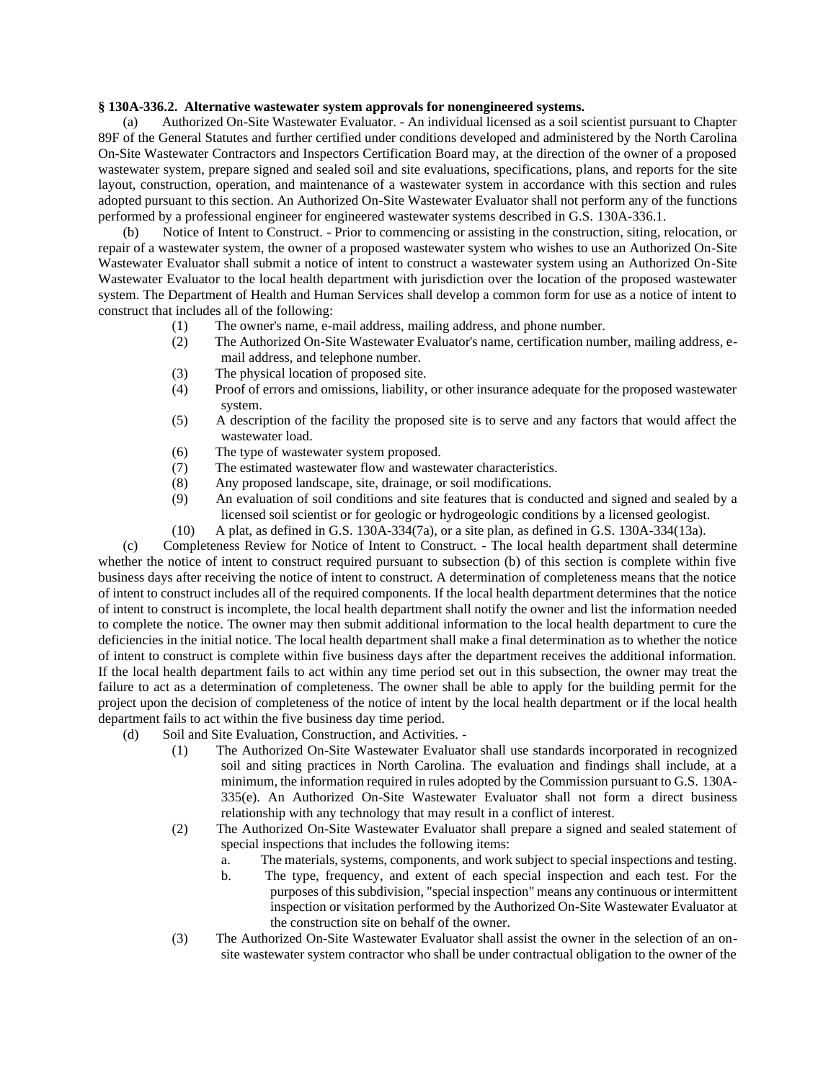## **§ 130A-336.2. Alternative wastewater system approvals for nonengineered systems.**

(a) Authorized On-Site Wastewater Evaluator. - An individual licensed as a soil scientist pursuant to Chapter 89F of the General Statutes and further certified under conditions developed and administered by the North Carolina On-Site Wastewater Contractors and Inspectors Certification Board may, at the direction of the owner of a proposed wastewater system, prepare signed and sealed soil and site evaluations, specifications, plans, and reports for the site layout, construction, operation, and maintenance of a wastewater system in accordance with this section and rules adopted pursuant to this section. An Authorized On-Site Wastewater Evaluator shall not perform any of the functions performed by a professional engineer for engineered wastewater systems described in G.S. 130A-336.1.

(b) Notice of Intent to Construct. - Prior to commencing or assisting in the construction, siting, relocation, or repair of a wastewater system, the owner of a proposed wastewater system who wishes to use an Authorized On-Site Wastewater Evaluator shall submit a notice of intent to construct a wastewater system using an Authorized On-Site Wastewater Evaluator to the local health department with jurisdiction over the location of the proposed wastewater system. The Department of Health and Human Services shall develop a common form for use as a notice of intent to construct that includes all of the following:

- (1) The owner's name, e-mail address, mailing address, and phone number.
- (2) The Authorized On-Site Wastewater Evaluator's name, certification number, mailing address, email address, and telephone number.
- (3) The physical location of proposed site.
- (4) Proof of errors and omissions, liability, or other insurance adequate for the proposed wastewater system.
- (5) A description of the facility the proposed site is to serve and any factors that would affect the wastewater load.
- (6) The type of wastewater system proposed.
- (7) The estimated wastewater flow and wastewater characteristics.
- (8) Any proposed landscape, site, drainage, or soil modifications.
- (9) An evaluation of soil conditions and site features that is conducted and signed and sealed by a licensed soil scientist or for geologic or hydrogeologic conditions by a licensed geologist.
- (10) A plat, as defined in G.S. 130A-334(7a), or a site plan, as defined in G.S. 130A-334(13a).

(c) Completeness Review for Notice of Intent to Construct. - The local health department shall determine whether the notice of intent to construct required pursuant to subsection (b) of this section is complete within five business days after receiving the notice of intent to construct. A determination of completeness means that the notice of intent to construct includes all of the required components. If the local health department determines that the notice of intent to construct is incomplete, the local health department shall notify the owner and list the information needed to complete the notice. The owner may then submit additional information to the local health department to cure the deficiencies in the initial notice. The local health department shall make a final determination as to whether the notice of intent to construct is complete within five business days after the department receives the additional information. If the local health department fails to act within any time period set out in this subsection, the owner may treat the failure to act as a determination of completeness. The owner shall be able to apply for the building permit for the project upon the decision of completeness of the notice of intent by the local health department or if the local health department fails to act within the five business day time period.

- (d) Soil and Site Evaluation, Construction, and Activities.
	- (1) The Authorized On-Site Wastewater Evaluator shall use standards incorporated in recognized soil and siting practices in North Carolina. The evaluation and findings shall include, at a minimum, the information required in rules adopted by the Commission pursuant to G.S. 130A-335(e). An Authorized On-Site Wastewater Evaluator shall not form a direct business relationship with any technology that may result in a conflict of interest.
	- (2) The Authorized On-Site Wastewater Evaluator shall prepare a signed and sealed statement of special inspections that includes the following items:
		- a. The materials, systems, components, and work subject to special inspections and testing.
		- b. The type, frequency, and extent of each special inspection and each test. For the purposes of this subdivision, "special inspection" means any continuous or intermittent inspection or visitation performed by the Authorized On-Site Wastewater Evaluator at the construction site on behalf of the owner.
	- (3) The Authorized On-Site Wastewater Evaluator shall assist the owner in the selection of an onsite wastewater system contractor who shall be under contractual obligation to the owner of the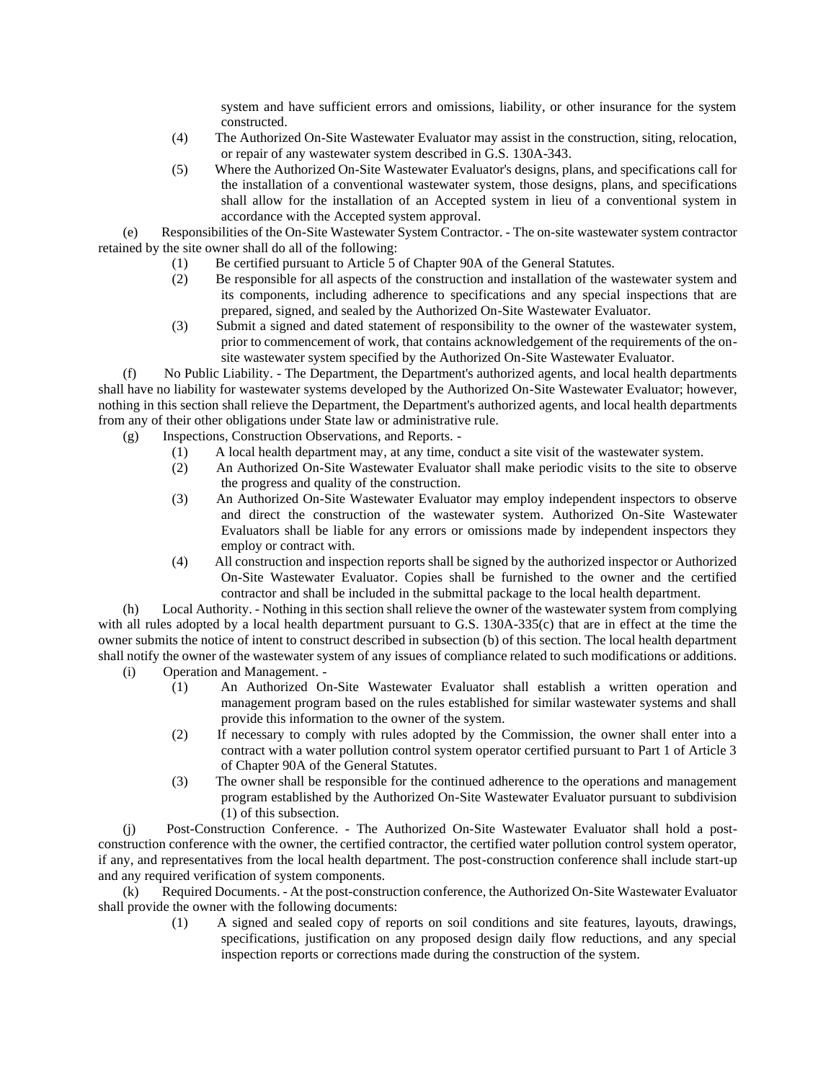system and have sufficient errors and omissions, liability, or other insurance for the system constructed.

- (4) The Authorized On-Site Wastewater Evaluator may assist in the construction, siting, relocation, or repair of any wastewater system described in G.S. 130A-343.
- (5) Where the Authorized On-Site Wastewater Evaluator's designs, plans, and specifications call for the installation of a conventional wastewater system, those designs, plans, and specifications shall allow for the installation of an Accepted system in lieu of a conventional system in accordance with the Accepted system approval.

(e) Responsibilities of the On-Site Wastewater System Contractor. - The on-site wastewater system contractor retained by the site owner shall do all of the following:

- (1) Be certified pursuant to Article 5 of Chapter 90A of the General Statutes.
- (2) Be responsible for all aspects of the construction and installation of the wastewater system and its components, including adherence to specifications and any special inspections that are prepared, signed, and sealed by the Authorized On-Site Wastewater Evaluator.
- (3) Submit a signed and dated statement of responsibility to the owner of the wastewater system, prior to commencement of work, that contains acknowledgement of the requirements of the onsite wastewater system specified by the Authorized On-Site Wastewater Evaluator.

(f) No Public Liability. - The Department, the Department's authorized agents, and local health departments shall have no liability for wastewater systems developed by the Authorized On-Site Wastewater Evaluator; however, nothing in this section shall relieve the Department, the Department's authorized agents, and local health departments from any of their other obligations under State law or administrative rule.

- (g) Inspections, Construction Observations, and Reports.
	- (1) A local health department may, at any time, conduct a site visit of the wastewater system.
	- (2) An Authorized On-Site Wastewater Evaluator shall make periodic visits to the site to observe the progress and quality of the construction.
	- (3) An Authorized On-Site Wastewater Evaluator may employ independent inspectors to observe and direct the construction of the wastewater system. Authorized On-Site Wastewater Evaluators shall be liable for any errors or omissions made by independent inspectors they employ or contract with.
	- (4) All construction and inspection reports shall be signed by the authorized inspector or Authorized On-Site Wastewater Evaluator. Copies shall be furnished to the owner and the certified contractor and shall be included in the submittal package to the local health department.

(h) Local Authority. - Nothing in this section shall relieve the owner of the wastewater system from complying with all rules adopted by a local health department pursuant to G.S. 130A-335(c) that are in effect at the time the owner submits the notice of intent to construct described in subsection (b) of this section. The local health department shall notify the owner of the wastewater system of any issues of compliance related to such modifications or additions.

- (i) Operation and Management.
	- (1) An Authorized On-Site Wastewater Evaluator shall establish a written operation and management program based on the rules established for similar wastewater systems and shall provide this information to the owner of the system.
		- (2) If necessary to comply with rules adopted by the Commission, the owner shall enter into a contract with a water pollution control system operator certified pursuant to Part 1 of Article 3 of Chapter 90A of the General Statutes.
		- (3) The owner shall be responsible for the continued adherence to the operations and management program established by the Authorized On-Site Wastewater Evaluator pursuant to subdivision (1) of this subsection.

(j) Post-Construction Conference. - The Authorized On-Site Wastewater Evaluator shall hold a postconstruction conference with the owner, the certified contractor, the certified water pollution control system operator, if any, and representatives from the local health department. The post-construction conference shall include start-up and any required verification of system components.

(k) Required Documents. - At the post-construction conference, the Authorized On-Site Wastewater Evaluator shall provide the owner with the following documents:

> (1) A signed and sealed copy of reports on soil conditions and site features, layouts, drawings, specifications, justification on any proposed design daily flow reductions, and any special inspection reports or corrections made during the construction of the system.